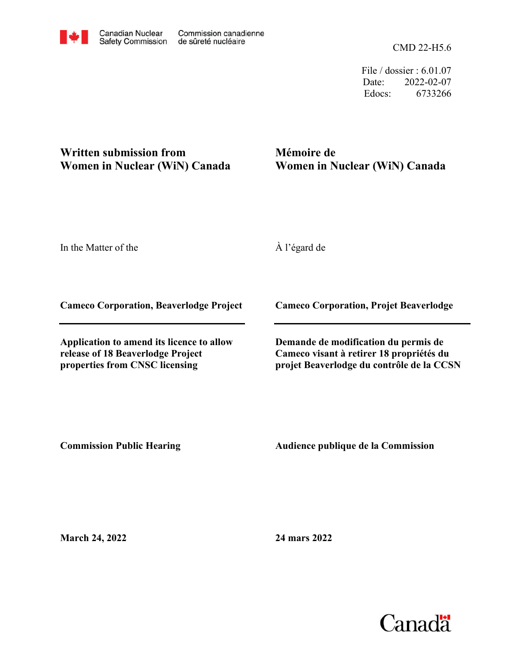CMD 22-H5.6

File / dossier : 6.01.07 Date: 2022-02-07 Edocs: 6733266

## **Written submission from Women in Nuclear (WiN) Canada**

**Mémoire de Women in Nuclear (WiN) Canada**

In the Matter of the

À l'égard de

**Cameco Corporation, Beaverlodge Project**

**Application to amend its licence to allow release of 18 Beaverlodge Project properties from CNSC licensing**

**Cameco Corporation, Projet Beaverlodge**

**Demande de modification du permis de Cameco visant à retirer 18 propriétés du projet Beaverlodge du contrôle de la CCSN**

**Commission Public Hearing**

**Audience publique de la Commission** 

**March 24, 2022**

**24 mars 2022**

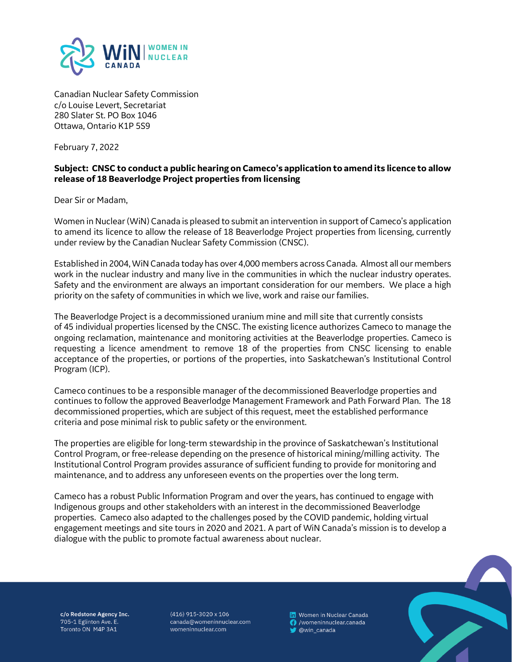

Canadian Nuclear Safety Commission c/o Louise Levert, Secretariat 280 Slater St. PO Box 1046 Ottawa, Ontario K1P 5S9

February 7, 2022

## **Subject: CNSC to conduct a public hearing on Cameco's application to amend its licence to allow release of 18 Beaverlodge Project properties from licensing**

Dear Sir or Madam,

Women in Nuclear (WiN) Canada is pleased to submit an intervention in support of Cameco's application to amend its licence to allow the release of 18 Beaverlodge Project properties from licensing, currently under review by the Canadian Nuclear Safety Commission (CNSC).

Established in 2004, WiNCanada today has over 4,000 members across Canada. Almost all our members work in the nuclear industry and many live in the communities in which the nuclear industry operates. Safety and the environment are always an important consideration for our members. We place a high priority on the safety of communities in which we live, work and raise our families.

The Beaverlodge Project is a decommissioned uranium mine and mill site that currently consists of 45 individual properties licensed by the CNSC. The existing licence authorizes Cameco to manage the ongoing reclamation, maintenance and monitoring activities at the Beaverlodge properties. Cameco is requesting a licence amendment to remove 18 of the properties from CNSC licensing to enable acceptance of the properties, or portions of the properties, into Saskatchewan's Institutional Control Program (ICP).

Cameco continues to be a responsible manager of the decommissioned Beaverlodge properties and continues to follow the approved Beaverlodge Management Framework and Path Forward Plan. The 18 decommissioned properties, which are subject of this request, meet the established performance criteria and pose minimal risk to public safety or the environment.

The properties are eligible for long-term stewardship in the province of Saskatchewan's Institutional Control Program, or free-release depending on the presence of historical mining/milling activity. The Institutional Control Program provides assurance of sufficient funding to provide for monitoring and maintenance, and to address any unforeseen events on the properties over the long term.

Cameco has a robust Public Information Program and over the years, has continued to engage with Indigenous groups and other stakeholders with an interest in the decommissioned Beaverlodge properties. Cameco also adapted to the challenges posed by the COVID pandemic, holding virtual engagement meetings and site tours in 2020 and 2021. A part of WiN Canada's mission is to develop a dialogue with the public to promote factual awareness about nuclear.

c/o Redstone Agency Inc. 705-1 Eglinton Ave. E. Toronto ON M4P 3A1

 $(416)$  915-3020 x 106 canada@womeninnuclear.com womeninnuclear.com

**In** Women in Nuclear Canada **3** /womeninnuclear.canada W @win\_canada